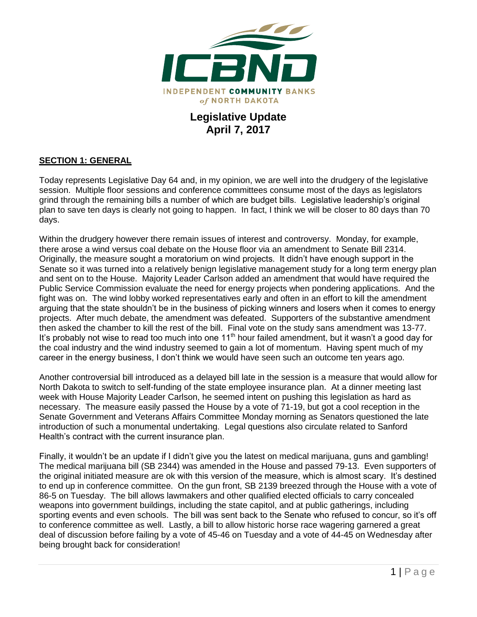

## **Legislative Update April 7, 2017**

#### **SECTION 1: GENERAL**

Today represents Legislative Day 64 and, in my opinion, we are well into the drudgery of the legislative session. Multiple floor sessions and conference committees consume most of the days as legislators grind through the remaining bills a number of which are budget bills. Legislative leadership's original plan to save ten days is clearly not going to happen. In fact, I think we will be closer to 80 days than 70 days.

Within the drudgery however there remain issues of interest and controversy. Monday, for example, there arose a wind versus coal debate on the House floor via an amendment to Senate Bill 2314. Originally, the measure sought a moratorium on wind projects. It didn't have enough support in the Senate so it was turned into a relatively benign legislative management study for a long term energy plan and sent on to the House. Majority Leader Carlson added an amendment that would have required the Public Service Commission evaluate the need for energy projects when pondering applications. And the fight was on. The wind lobby worked representatives early and often in an effort to kill the amendment arguing that the state shouldn't be in the business of picking winners and losers when it comes to energy projects. After much debate, the amendment was defeated. Supporters of the substantive amendment then asked the chamber to kill the rest of the bill. Final vote on the study sans amendment was 13-77. It's probably not wise to read too much into one  $11<sup>th</sup>$  hour failed amendment, but it wasn't a good day for the coal industry and the wind industry seemed to gain a lot of momentum. Having spent much of my career in the energy business, I don't think we would have seen such an outcome ten years ago.

Another controversial bill introduced as a delayed bill late in the session is a measure that would allow for North Dakota to switch to self-funding of the state employee insurance plan. At a dinner meeting last week with House Majority Leader Carlson, he seemed intent on pushing this legislation as hard as necessary. The measure easily passed the House by a vote of 71-19, but got a cool reception in the Senate Government and Veterans Affairs Committee Monday morning as Senators questioned the late introduction of such a monumental undertaking. Legal questions also circulate related to Sanford Health's contract with the current insurance plan.

Finally, it wouldn't be an update if I didn't give you the latest on medical marijuana, guns and gambling! The medical marijuana bill (SB 2344) was amended in the House and passed 79-13. Even supporters of the original initiated measure are ok with this version of the measure, which is almost scary. It's destined to end up in conference committee. On the gun front, SB 2139 breezed through the House with a vote of 86-5 on Tuesday. The bill allows lawmakers and other qualified elected officials to carry concealed weapons into government buildings, including the state capitol, and at public gatherings, including sporting events and even schools. The bill was sent back to the Senate who refused to concur, so it's off to conference committee as well. Lastly, a bill to allow historic horse race wagering garnered a great deal of discussion before failing by a vote of 45-46 on Tuesday and a vote of 44-45 on Wednesday after being brought back for consideration!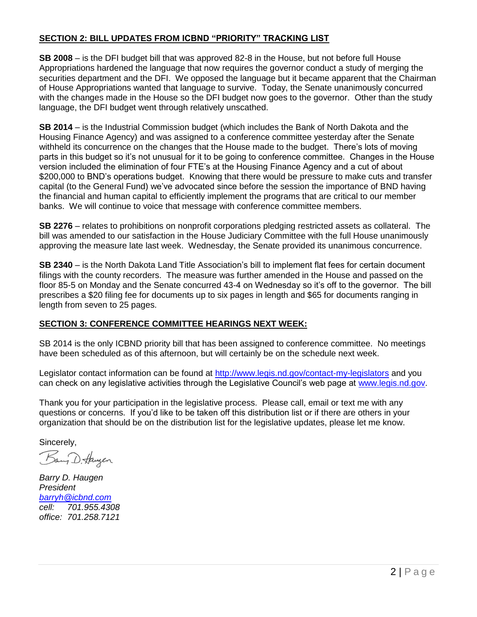#### **SECTION 2: BILL UPDATES FROM ICBND "PRIORITY" TRACKING LIST**

**SB 2008** – is the DFI budget bill that was approved 82-8 in the House, but not before full House Appropriations hardened the language that now requires the governor conduct a study of merging the securities department and the DFI. We opposed the language but it became apparent that the Chairman of House Appropriations wanted that language to survive. Today, the Senate unanimously concurred with the changes made in the House so the DFI budget now goes to the governor. Other than the study language, the DFI budget went through relatively unscathed.

**SB 2014** – is the Industrial Commission budget (which includes the Bank of North Dakota and the Housing Finance Agency) and was assigned to a conference committee yesterday after the Senate withheld its concurrence on the changes that the House made to the budget. There's lots of moving parts in this budget so it's not unusual for it to be going to conference committee. Changes in the House version included the elimination of four FTE's at the Housing Finance Agency and a cut of about \$200,000 to BND's operations budget. Knowing that there would be pressure to make cuts and transfer capital (to the General Fund) we've advocated since before the session the importance of BND having the financial and human capital to efficiently implement the programs that are critical to our member banks. We will continue to voice that message with conference committee members.

**SB 2276** – relates to prohibitions on nonprofit corporations pledging restricted assets as collateral. The bill was amended to our satisfaction in the House Judiciary Committee with the full House unanimously approving the measure late last week. Wednesday, the Senate provided its unanimous concurrence.

**SB 2340** – is the North Dakota Land Title Association's bill to implement flat fees for certain document filings with the county recorders. The measure was further amended in the House and passed on the floor 85-5 on Monday and the Senate concurred 43-4 on Wednesday so it's off to the governor. The bill prescribes a \$20 filing fee for documents up to six pages in length and \$65 for documents ranging in length from seven to 25 pages.

### **SECTION 3: CONFERENCE COMMITTEE HEARINGS NEXT WEEK:**

SB 2014 is the only ICBND priority bill that has been assigned to conference committee. No meetings have been scheduled as of this afternoon, but will certainly be on the schedule next week.

Legislator contact information can be found at<http://www.legis.nd.gov/contact-my-legislators> and you can check on any legislative activities through the Legislative Council's web page at [www.legis.nd.gov.](http://www.legis.nd.gov/)

Thank you for your participation in the legislative process. Please call, email or text me with any questions or concerns. If you'd like to be taken off this distribution list or if there are others in your organization that should be on the distribution list for the legislative updates, please let me know.

Sincerely,

Bang D. Haugen

*Barry D. Haugen President [barryh@icbnd.com](mailto:barryh@icbnd.com) cell: 701.955.4308 office: 701.258.7121*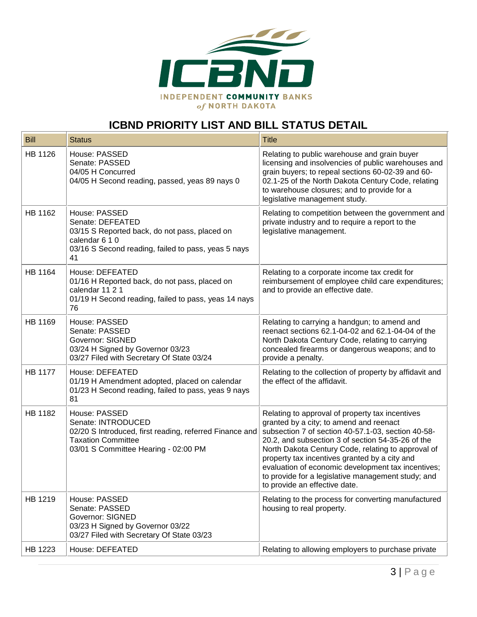

# **ICBND PRIORITY LIST AND BILL STATUS DETAIL**

| <b>Bill</b>    | <b>Status</b>                                                                                                                                                       | <b>Title</b>                                                                                                                                                                                                                                                                                                                                                                                                                                              |
|----------------|---------------------------------------------------------------------------------------------------------------------------------------------------------------------|-----------------------------------------------------------------------------------------------------------------------------------------------------------------------------------------------------------------------------------------------------------------------------------------------------------------------------------------------------------------------------------------------------------------------------------------------------------|
| HB 1126        | House: PASSED<br>Senate: PASSED<br>04/05 H Concurred<br>04/05 H Second reading, passed, yeas 89 nays 0                                                              | Relating to public warehouse and grain buyer<br>licensing and insolvencies of public warehouses and<br>grain buyers; to repeal sections 60-02-39 and 60-<br>02.1-25 of the North Dakota Century Code, relating<br>to warehouse closures; and to provide for a<br>legislative management study.                                                                                                                                                            |
| HB 1162        | House: PASSED<br>Senate: DEFEATED<br>03/15 S Reported back, do not pass, placed on<br>calendar 6 1 0<br>03/16 S Second reading, failed to pass, yeas 5 nays<br>41   | Relating to competition between the government and<br>private industry and to require a report to the<br>legislative management.                                                                                                                                                                                                                                                                                                                          |
| HB 1164        | House: DEFEATED<br>01/16 H Reported back, do not pass, placed on<br>calendar 11 2 1<br>01/19 H Second reading, failed to pass, yeas 14 nays<br>76                   | Relating to a corporate income tax credit for<br>reimbursement of employee child care expenditures;<br>and to provide an effective date.                                                                                                                                                                                                                                                                                                                  |
| HB 1169        | House: PASSED<br>Senate: PASSED<br><b>Governor: SIGNED</b><br>03/24 H Signed by Governor 03/23<br>03/27 Filed with Secretary Of State 03/24                         | Relating to carrying a handgun; to amend and<br>reenact sections 62.1-04-02 and 62.1-04-04 of the<br>North Dakota Century Code, relating to carrying<br>concealed firearms or dangerous weapons; and to<br>provide a penalty.                                                                                                                                                                                                                             |
| <b>HB 1177</b> | House: DEFEATED<br>01/19 H Amendment adopted, placed on calendar<br>01/23 H Second reading, failed to pass, yeas 9 nays<br>81                                       | Relating to the collection of property by affidavit and<br>the effect of the affidavit.                                                                                                                                                                                                                                                                                                                                                                   |
| <b>HB 1182</b> | House: PASSED<br>Senate: INTRODUCED<br>02/20 S Introduced, first reading, referred Finance and<br><b>Taxation Committee</b><br>03/01 S Committee Hearing - 02:00 PM | Relating to approval of property tax incentives<br>granted by a city; to amend and reenact<br>subsection 7 of section 40-57.1-03, section 40-58-<br>20.2, and subsection 3 of section 54-35-26 of the<br>North Dakota Century Code, relating to approval of<br>property tax incentives granted by a city and<br>evaluation of economic development tax incentives;<br>to provide for a legislative management study; and<br>to provide an effective date. |
| HB 1219        | House: PASSED<br>Senate: PASSED<br><b>Governor: SIGNED</b><br>03/23 H Signed by Governor 03/22<br>03/27 Filed with Secretary Of State 03/23                         | Relating to the process for converting manufactured<br>housing to real property.                                                                                                                                                                                                                                                                                                                                                                          |
| HB 1223        | House: DEFEATED                                                                                                                                                     | Relating to allowing employers to purchase private                                                                                                                                                                                                                                                                                                                                                                                                        |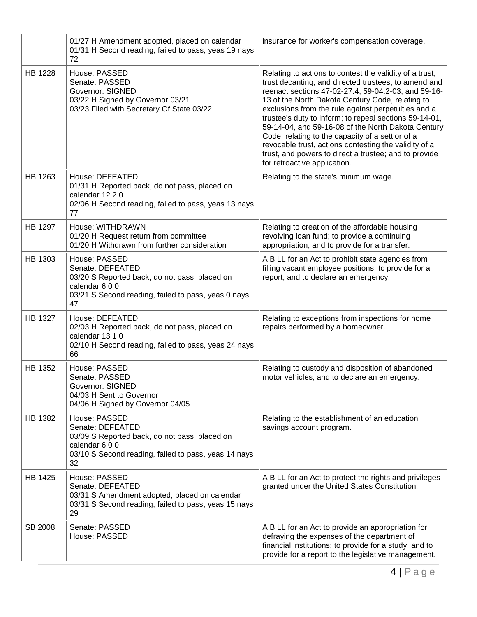|                | 01/27 H Amendment adopted, placed on calendar<br>01/31 H Second reading, failed to pass, yeas 19 nays<br>72                                                      | insurance for worker's compensation coverage.                                                                                                                                                                                                                                                                                                                                                                                                                                                                                                                                                           |
|----------------|------------------------------------------------------------------------------------------------------------------------------------------------------------------|---------------------------------------------------------------------------------------------------------------------------------------------------------------------------------------------------------------------------------------------------------------------------------------------------------------------------------------------------------------------------------------------------------------------------------------------------------------------------------------------------------------------------------------------------------------------------------------------------------|
| HB 1228        | House: PASSED<br>Senate: PASSED<br>Governor: SIGNED<br>03/22 H Signed by Governor 03/21<br>03/23 Filed with Secretary Of State 03/22                             | Relating to actions to contest the validity of a trust,<br>trust decanting, and directed trustees; to amend and<br>reenact sections 47-02-27.4, 59-04.2-03, and 59-16-<br>13 of the North Dakota Century Code, relating to<br>exclusions from the rule against perpetuities and a<br>trustee's duty to inform; to repeal sections 59-14-01,<br>59-14-04, and 59-16-08 of the North Dakota Century<br>Code, relating to the capacity of a settlor of a<br>revocable trust, actions contesting the validity of a<br>trust, and powers to direct a trustee; and to provide<br>for retroactive application. |
| HB 1263        | House: DEFEATED<br>01/31 H Reported back, do not pass, placed on<br>calendar 12 2 0<br>02/06 H Second reading, failed to pass, yeas 13 nays<br>77                | Relating to the state's minimum wage.                                                                                                                                                                                                                                                                                                                                                                                                                                                                                                                                                                   |
| HB 1297        | House: WITHDRAWN<br>01/20 H Request return from committee<br>01/20 H Withdrawn from further consideration                                                        | Relating to creation of the affordable housing<br>revolving loan fund; to provide a continuing<br>appropriation; and to provide for a transfer.                                                                                                                                                                                                                                                                                                                                                                                                                                                         |
| HB 1303        | House: PASSED<br>Senate: DEFEATED<br>03/20 S Reported back, do not pass, placed on<br>calendar 600<br>03/21 S Second reading, failed to pass, yeas 0 nays<br>47  | A BILL for an Act to prohibit state agencies from<br>filling vacant employee positions; to provide for a<br>report; and to declare an emergency.                                                                                                                                                                                                                                                                                                                                                                                                                                                        |
| <b>HB 1327</b> | House: DEFEATED<br>02/03 H Reported back, do not pass, placed on<br>calendar 13 1 0<br>02/10 H Second reading, failed to pass, yeas 24 nays<br>66                | Relating to exceptions from inspections for home<br>repairs performed by a homeowner.                                                                                                                                                                                                                                                                                                                                                                                                                                                                                                                   |
| HB 1352        | House: PASSED<br>Senate: PASSED<br>Governor: SIGNED<br>04/03 H Sent to Governor<br>04/06 H Signed by Governor 04/05                                              | Relating to custody and disposition of abandoned<br>motor vehicles; and to declare an emergency.                                                                                                                                                                                                                                                                                                                                                                                                                                                                                                        |
| HB 1382        | House: PASSED<br>Senate: DEFEATED<br>03/09 S Reported back, do not pass, placed on<br>calendar 600<br>03/10 S Second reading, failed to pass, yeas 14 nays<br>32 | Relating to the establishment of an education<br>savings account program.                                                                                                                                                                                                                                                                                                                                                                                                                                                                                                                               |
| HB 1425        | House: PASSED<br>Senate: DEFEATED<br>03/31 S Amendment adopted, placed on calendar<br>03/31 S Second reading, failed to pass, yeas 15 nays<br>29                 | A BILL for an Act to protect the rights and privileges<br>granted under the United States Constitution.                                                                                                                                                                                                                                                                                                                                                                                                                                                                                                 |
| SB 2008        | Senate: PASSED<br>House: PASSED                                                                                                                                  | A BILL for an Act to provide an appropriation for<br>defraying the expenses of the department of<br>financial institutions; to provide for a study; and to<br>provide for a report to the legislative management.                                                                                                                                                                                                                                                                                                                                                                                       |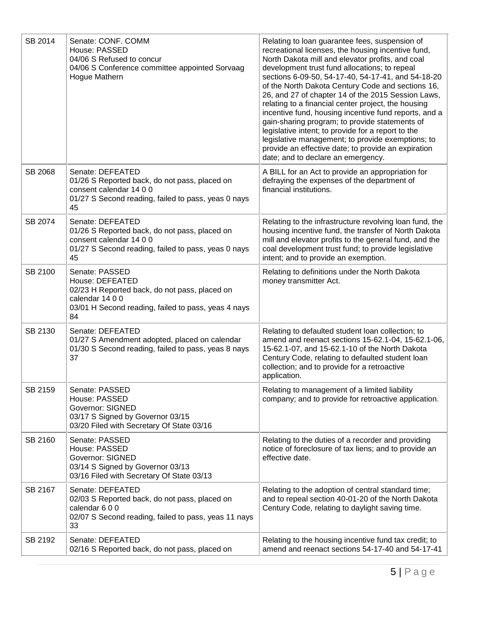| SB 2014 | Senate: CONF. COMM<br>House: PASSED<br>04/06 S Refused to concur<br>04/06 S Conference committee appointed Sorvaag<br><b>Hogue Mathern</b>                         | Relating to loan guarantee fees, suspension of<br>recreational licenses, the housing incentive fund,<br>North Dakota mill and elevator profits, and coal<br>development trust fund allocations; to repeal<br>sections 6-09-50, 54-17-40, 54-17-41, and 54-18-20<br>of the North Dakota Century Code and sections 16,<br>26, and 27 of chapter 14 of the 2015 Session Laws,<br>relating to a financial center project, the housing<br>incentive fund, housing incentive fund reports, and a<br>gain-sharing program; to provide statements of<br>legislative intent; to provide for a report to the<br>legislative management; to provide exemptions; to<br>provide an effective date; to provide an expiration<br>date; and to declare an emergency. |
|---------|--------------------------------------------------------------------------------------------------------------------------------------------------------------------|------------------------------------------------------------------------------------------------------------------------------------------------------------------------------------------------------------------------------------------------------------------------------------------------------------------------------------------------------------------------------------------------------------------------------------------------------------------------------------------------------------------------------------------------------------------------------------------------------------------------------------------------------------------------------------------------------------------------------------------------------|
| SB 2068 | Senate: DEFEATED<br>01/26 S Reported back, do not pass, placed on<br>consent calendar 14 0 0<br>01/27 S Second reading, failed to pass, yeas 0 nays<br>45          | A BILL for an Act to provide an appropriation for<br>defraying the expenses of the department of<br>financial institutions.                                                                                                                                                                                                                                                                                                                                                                                                                                                                                                                                                                                                                          |
| SB 2074 | Senate: DEFEATED<br>01/26 S Reported back, do not pass, placed on<br>consent calendar 14 0 0<br>01/27 S Second reading, failed to pass, yeas 0 nays<br>45          | Relating to the infrastructure revolving loan fund, the<br>housing incentive fund, the transfer of North Dakota<br>mill and elevator profits to the general fund, and the<br>coal development trust fund; to provide legislative<br>intent; and to provide an exemption.                                                                                                                                                                                                                                                                                                                                                                                                                                                                             |
| SB 2100 | Senate: PASSED<br>House: DEFEATED<br>02/23 H Reported back, do not pass, placed on<br>calendar 14 0 0<br>03/01 H Second reading, failed to pass, yeas 4 nays<br>84 | Relating to definitions under the North Dakota<br>money transmitter Act.                                                                                                                                                                                                                                                                                                                                                                                                                                                                                                                                                                                                                                                                             |
| SB 2130 | Senate: DEFEATED<br>01/27 S Amendment adopted, placed on calendar<br>01/30 S Second reading, failed to pass, yeas 8 nays<br>37                                     | Relating to defaulted student loan collection; to<br>amend and reenact sections 15-62.1-04, 15-62.1-06,<br>15-62.1-07, and 15-62.1-10 of the North Dakota<br>Century Code, relating to defaulted student loan<br>collection; and to provide for a retroactive<br>application.                                                                                                                                                                                                                                                                                                                                                                                                                                                                        |
| SB 2159 | Senate: PASSED<br>House: PASSED<br>Governor: SIGNED<br>03/17 S Signed by Governor 03/15<br>03/20 Filed with Secretary Of State 03/16                               | Relating to management of a limited liability<br>company; and to provide for retroactive application.                                                                                                                                                                                                                                                                                                                                                                                                                                                                                                                                                                                                                                                |
| SB 2160 | Senate: PASSED<br>House: PASSED<br><b>Governor: SIGNED</b><br>03/14 S Signed by Governor 03/13<br>03/16 Filed with Secretary Of State 03/13                        | Relating to the duties of a recorder and providing<br>notice of foreclosure of tax liens; and to provide an<br>effective date.                                                                                                                                                                                                                                                                                                                                                                                                                                                                                                                                                                                                                       |
| SB 2167 | Senate: DEFEATED<br>02/03 S Reported back, do not pass, placed on<br>calendar 600<br>02/07 S Second reading, failed to pass, yeas 11 nays<br>33                    | Relating to the adoption of central standard time;<br>and to repeal section 40-01-20 of the North Dakota<br>Century Code, relating to daylight saving time.                                                                                                                                                                                                                                                                                                                                                                                                                                                                                                                                                                                          |
| SB 2192 | Senate: DEFEATED<br>02/16 S Reported back, do not pass, placed on                                                                                                  | Relating to the housing incentive fund tax credit; to<br>amend and reenact sections 54-17-40 and 54-17-41                                                                                                                                                                                                                                                                                                                                                                                                                                                                                                                                                                                                                                            |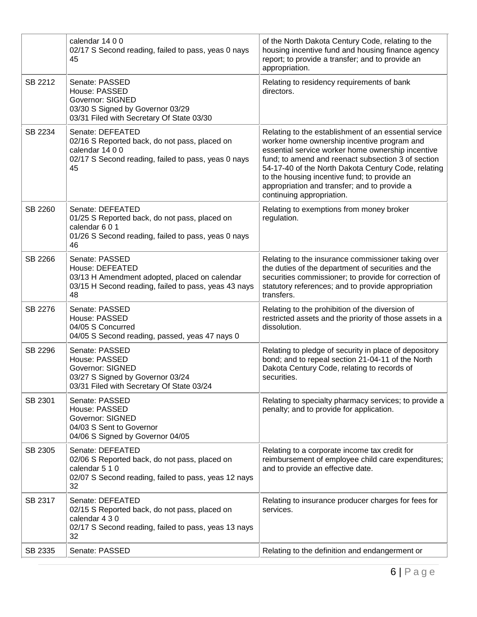|         | calendar 14 0 0<br>02/17 S Second reading, failed to pass, yeas 0 nays<br>45                                                                      | of the North Dakota Century Code, relating to the<br>housing incentive fund and housing finance agency<br>report; to provide a transfer; and to provide an<br>appropriation.                                                                                                                                                                                                                        |
|---------|---------------------------------------------------------------------------------------------------------------------------------------------------|-----------------------------------------------------------------------------------------------------------------------------------------------------------------------------------------------------------------------------------------------------------------------------------------------------------------------------------------------------------------------------------------------------|
| SB 2212 | Senate: PASSED<br>House: PASSED<br><b>Governor: SIGNED</b><br>03/30 S Signed by Governor 03/29<br>03/31 Filed with Secretary Of State 03/30       | Relating to residency requirements of bank<br>directors.                                                                                                                                                                                                                                                                                                                                            |
| SB 2234 | Senate: DEFEATED<br>02/16 S Reported back, do not pass, placed on<br>calendar 14 0 0<br>02/17 S Second reading, failed to pass, yeas 0 nays<br>45 | Relating to the establishment of an essential service<br>worker home ownership incentive program and<br>essential service worker home ownership incentive<br>fund; to amend and reenact subsection 3 of section<br>54-17-40 of the North Dakota Century Code, relating<br>to the housing incentive fund; to provide an<br>appropriation and transfer; and to provide a<br>continuing appropriation. |
| SB 2260 | Senate: DEFEATED<br>01/25 S Reported back, do not pass, placed on<br>calendar 6 0 1<br>01/26 S Second reading, failed to pass, yeas 0 nays<br>46  | Relating to exemptions from money broker<br>regulation.                                                                                                                                                                                                                                                                                                                                             |
| SB 2266 | Senate: PASSED<br>House: DEFEATED<br>03/13 H Amendment adopted, placed on calendar<br>03/15 H Second reading, failed to pass, yeas 43 nays<br>48  | Relating to the insurance commissioner taking over<br>the duties of the department of securities and the<br>securities commissioner; to provide for correction of<br>statutory references; and to provide appropriation<br>transfers.                                                                                                                                                               |
| SB 2276 | Senate: PASSED<br>House: PASSED<br>04/05 S Concurred<br>04/05 S Second reading, passed, yeas 47 nays 0                                            | Relating to the prohibition of the diversion of<br>restricted assets and the priority of those assets in a<br>dissolution.                                                                                                                                                                                                                                                                          |
| SB 2296 | Senate: PASSED<br>House: PASSED<br><b>Governor: SIGNED</b><br>03/27 S Signed by Governor 03/24<br>03/31 Filed with Secretary Of State 03/24       | Relating to pledge of security in place of depository<br>bond; and to repeal section 21-04-11 of the North<br>Dakota Century Code, relating to records of<br>securities.                                                                                                                                                                                                                            |
| SB 2301 | Senate: PASSED<br>House: PASSED<br>Governor: SIGNED<br>04/03 S Sent to Governor<br>04/06 S Signed by Governor 04/05                               | Relating to specialty pharmacy services; to provide a<br>penalty; and to provide for application.                                                                                                                                                                                                                                                                                                   |
| SB 2305 | Senate: DEFEATED<br>02/06 S Reported back, do not pass, placed on<br>calendar 5 1 0<br>02/07 S Second reading, failed to pass, yeas 12 nays<br>32 | Relating to a corporate income tax credit for<br>reimbursement of employee child care expenditures;<br>and to provide an effective date.                                                                                                                                                                                                                                                            |
| SB 2317 | Senate: DEFEATED<br>02/15 S Reported back, do not pass, placed on<br>calendar 4 3 0<br>02/17 S Second reading, failed to pass, yeas 13 nays<br>32 | Relating to insurance producer charges for fees for<br>services.                                                                                                                                                                                                                                                                                                                                    |
| SB 2335 | Senate: PASSED                                                                                                                                    | Relating to the definition and endangerment or                                                                                                                                                                                                                                                                                                                                                      |